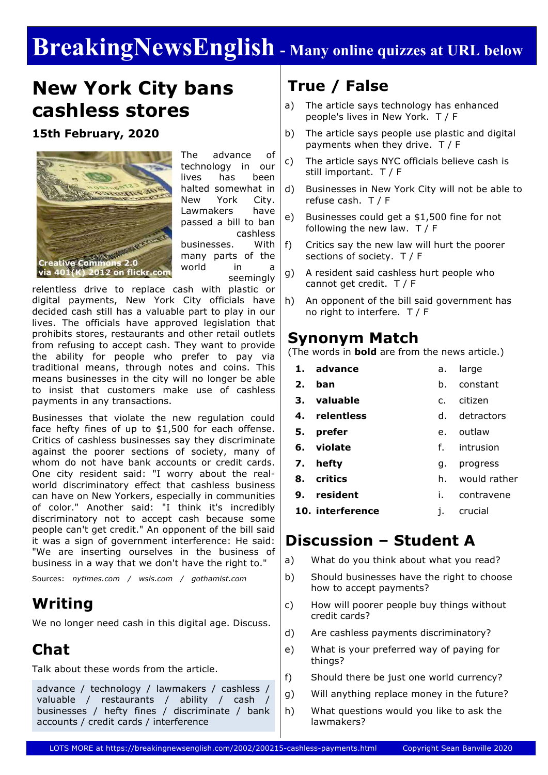# **BreakingNewsEnglish - Many online quizzes at URL below**

# **New York City bans cashless stores**

**15th February, 2020**



The advance of technology in our lives has been halted somewhat in New York City. Lawmakers have passed a bill to ban cashless businesses. With many parts of the world in a seemingly

relentless drive to replace cash with plastic or digital payments, New York City officials have decided cash still has a valuable part to play in our lives. The officials have approved legislation that prohibits stores, restaurants and other retail outlets from refusing to accept cash. They want to provide the ability for people who prefer to pay via traditional means, through notes and coins. This means businesses in the city will no longer be able to insist that customers make use of cashless payments in any transactions.

Businesses that violate the new regulation could face hefty fines of up to \$1,500 for each offense. Critics of cashless businesses say they discriminate against the poorer sections of society, many of whom do not have bank accounts or credit cards. One city resident said: "I worry about the realworld discriminatory effect that cashless business can have on New Yorkers, especially in communities of color." Another said: "I think it's incredibly discriminatory not to accept cash because some people can't get credit." An opponent of the bill said it was a sign of government interference: He said: "We are inserting ourselves in the business of business in a way that we don't have the right to."

Sources: *nytimes.com / wsls.com / gothamist.com*

## **Writing**

We no longer need cash in this digital age. Discuss.

## **Chat**

Talk about these words from the article.

advance / technology / lawmakers / cashless / valuable / restaurants / ability / cash / businesses / hefty fines / discriminate / bank accounts / credit cards / interference

# **True / False**

- a) The article says technology has enhanced people's lives in New York. T / F
- b) The article says people use plastic and digital payments when they drive. T / F
- c) The article says NYC officials believe cash is still important. T / F
- d) Businesses in New York City will not be able to refuse cash. T / F
- e) Businesses could get a \$1,500 fine for not following the new law. T / F
- f) Critics say the new law will hurt the poorer sections of society. T / F
- g) A resident said cashless hurt people who cannot get credit. T / F
- h) An opponent of the bill said government has no right to interfere. T / F

### **Synonym Match**

(The words in **bold** are from the news article.)

- **1. advance 2. ban 3. valuable 4. relentless 5. prefer 6. violate 7. hefty 8. critics 9. resident** a. large b. constant c. citizen d. detractors e. outlaw f. intrusion g. progress h. would rather i. contravene
- **10. interference** j. crucial

### **Discussion – Student A**

- a) What do you think about what you read?
- b) Should businesses have the right to choose how to accept payments?
- c) How will poorer people buy things without credit cards?
- d) Are cashless payments discriminatory?
- e) What is your preferred way of paying for things?
- f) Should there be just one world currency?
- g) Will anything replace money in the future?
- h) What questions would you like to ask the lawmakers?